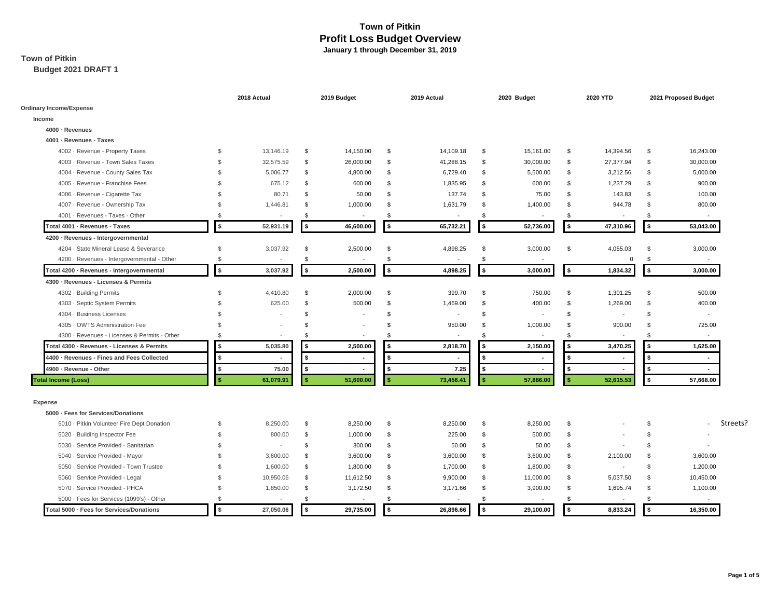# **Town of Pitkin**

**Budget 2021 DRAFT 1**

|                                              |               | 2018 Actual              |              | 2019 Budget              |              | 2019 Actual              |    | 2020 Budget              |                | 2020 YTD                 | 2021 Proposed Budget |                          |  |  |
|----------------------------------------------|---------------|--------------------------|--------------|--------------------------|--------------|--------------------------|----|--------------------------|----------------|--------------------------|----------------------|--------------------------|--|--|
| <b>Ordinary Income/Expense</b>               |               |                          |              |                          |              |                          |    |                          |                |                          |                      |                          |  |  |
| Income                                       |               |                          |              |                          |              |                          |    |                          |                |                          |                      |                          |  |  |
| 4000 · Revenues                              |               |                          |              |                          |              |                          |    |                          |                |                          |                      |                          |  |  |
| 4001 - Revenues - Taxes                      |               |                          |              |                          |              |                          |    |                          |                |                          |                      |                          |  |  |
| 4002 - Revenue - Property Taxes              | $\mathbf{\$}$ | 13,146.19                | \$           | 14,150.00                | \$           | 14,109.18                | \$ | 15,161.00                | \$             | 14,394.56                | \$                   | 16,243.00                |  |  |
| 4003 - Revenue - Town Sales Taxes            | $\mathbf{\$}$ | 32,575.59                | \$           | 26,000.00                | \$           | 41,288.15                | \$ | 30,000.00                | \$             | 27,377.94                | \$                   | 30,000.00                |  |  |
| 4004 - Revenue - County Sales Tax            | $\mathcal{S}$ | 5,006.77                 | \$           | 4,800.00                 | \$           | 6,729.40                 | \$ | 5,500.00                 | \$             | 3,212.56                 | \$                   | 5,000.00                 |  |  |
| 4005 - Revenue - Franchise Fees              | \$.           | 675.12                   | \$           | 600.00                   | \$           | 1,835.95                 | \$ | 600.00                   | \$             | 1,237.29                 | \$                   | 900.00                   |  |  |
| 4006 - Revenue - Cigarette Tax               | \$.           | 80.71                    | \$           | 50.00                    | \$           | 137.74                   | \$ | 75.00                    | \$             | 143.83                   | $\mathbf{s}$         | 100.00                   |  |  |
| 4007 - Revenue - Ownership Tax               | \$            | 1,446.81                 | \$           | 1,000.00                 | \$           | 1,631.79                 | \$ | 1,400.00                 | \$             | 944.78                   | \$                   | 800.00                   |  |  |
| 4001 - Revenues - Taxes - Other              | $\mathcal{F}$ | $\overline{\phantom{a}}$ | \$           | $\overline{\phantom{a}}$ | \$           | $\overline{\phantom{a}}$ | \$ | $\sim$                   | -S             | $\overline{\phantom{a}}$ | \$                   | $\overline{a}$           |  |  |
| Total 4001 · Revenues - Taxes                | \$            | 52,931.19                | \$           | 46,600.00                | \$           | 65,732.21                | \$ | 52,736.00                | l \$           | 47,310.96                | \$                   | 53,043.00                |  |  |
| 4200 · Revenues - Intergovernmental          |               |                          |              |                          |              |                          |    |                          |                |                          |                      |                          |  |  |
| 4204 · State Mineral Lease & Severance       | $\mathcal{S}$ | 3,037.92                 | \$           | 2,500.00                 | \$           | 4,898.25                 | \$ | 3,000.00                 | \$             | 4,055.03                 | \$                   | 3,000.00                 |  |  |
| 4200 - Revenues - Intergovernmental - Other  | $\mathcal{S}$ |                          | \$           | $\overline{\phantom{a}}$ | \$           |                          | \$ |                          |                | $\Omega$                 | \$                   |                          |  |  |
| Total 4200 · Revenues - Intergovernmental    | $\sqrt{5}$    | 3,037.92                 | \$           | 2,500.00                 | \$           | 4,898.25                 | \$ | 3,000.00                 | l \$           | 1,834.32                 | \$                   | 3,000.00                 |  |  |
| 4300 · Revenues - Licenses & Permits         |               |                          |              |                          |              |                          |    |                          |                |                          |                      |                          |  |  |
| 4302 - Building Permits                      | $\mathcal{S}$ | 4,410.80                 | \$           | 2,000.00                 | $\mathbf{s}$ | 399.70                   | \$ | 750.00                   | -S             | 1,301.25                 | \$                   | 500.00                   |  |  |
| 4303 - Septic System Permits                 | $\mathbf{\$}$ | 625.00                   | \$           | 500.00                   | $\mathbf{s}$ | 1,469.00                 | \$ | 400.00                   | $\mathfrak{L}$ | 1,269.00                 | $\mathbf{s}$         | 400.00                   |  |  |
| 4304 - Business Licenses                     | \$            |                          | \$           |                          | \$           | $\overline{\phantom{a}}$ | \$ |                          | \$             |                          | \$                   |                          |  |  |
| 4305 · OWTS Administration Fee               | \$            |                          | \$           |                          | \$           | 950.00                   | \$ | 1,000.00                 | \$             | 900.00                   | \$                   | 725.00                   |  |  |
| 4300 - Revenues - Licenses & Permits - Other | $\mathcal{S}$ | $\overline{\phantom{a}}$ | $\mathbf{s}$ | $\overline{\phantom{a}}$ | $\mathbf{s}$ | $\overline{\phantom{a}}$ | \$ | $\overline{\phantom{a}}$ | -S             | $\overline{\phantom{a}}$ | \$                   | $\overline{\phantom{a}}$ |  |  |
| Total 4300 · Revenues - Licenses & Permits   | \$            | 5,035.80                 |              | 2,500.00                 |              | 2,818.70                 | \$ | 2,150.00                 | \$             | 3,470.25                 | \$                   | 1,625.00                 |  |  |
| 4400 · Revenues - Fines and Fees Collected   | \$            |                          |              | ٠                        |              | $\blacksquare$           | \$ |                          | \$             |                          | \$                   |                          |  |  |
| 4900 - Revenue - Other                       | <b>s</b>      | 75.00                    | \$           | ٠                        | s.           | 7.25                     | \$ |                          | \$             |                          | \$                   |                          |  |  |
| <b>Total Income (Loss)</b>                   | <b>s</b>      | 61,079.91                |              | 51,600.00                |              | 73,456.41                | s. | 57,886.00                | $\mathbf{s}$   | 52,615.53                | \$                   | 57,668.00                |  |  |
| <b>Expense</b>                               |               |                          |              |                          |              |                          |    |                          |                |                          |                      |                          |  |  |
| 5000 - Fees for Services/Donations           |               |                          |              |                          |              |                          |    |                          |                |                          |                      |                          |  |  |
| 5010 - Pitkin Volunteer Fire Dept Donation   | \$            | 8,250.00                 | \$           | 8,250.00                 | \$           | 8,250.00                 | \$ | 8,250.00                 | \$             |                          | \$                   | Streets?                 |  |  |
| 5020 · Building Inspector Fee                | \$.           | 800.00                   | \$           | 1,000.00                 | \$           | 225.00                   | \$ | 500.00                   | $\mathfrak{L}$ |                          | \$                   |                          |  |  |
| 5030 - Service Provided - Sanitarian         | $\mathbf{\$}$ |                          | \$           | 300.00                   | \$           | 50.00                    | \$ | 50.00                    | \$             |                          | \$                   |                          |  |  |
| 5040 - Service Provided - Mayor              | \$.           | 3,600.00                 | \$           | 3,600.00                 | \$           | 3,600.00                 | \$ | 3,600.00                 | \$             | 2,100.00                 | \$                   | 3,600.00                 |  |  |
| 5050 - Service Provided - Town Trustee       | £.            | 1,600.00                 | \$           | 1,800.00                 | \$           | 1,700.00                 | \$ | 1,800.00                 | \$             | $\overline{\phantom{a}}$ | $\mathbf{s}$         | 1,200.00                 |  |  |
| 5060 · Service Provided - Legal              | \$.           | 10,950.06                | \$           | 11,612.50                | \$           | 9,900.00                 | \$ | 11,000.00                | \$             | 5,037.50                 | \$                   | 10,450.00                |  |  |
| 5070 · Service Provided - PHCA               | \$.           | 1,850.00                 | \$           | 3,172.50                 | \$           | 3,171.66                 | \$ | 3,900.00                 | \$             | 1,695.74                 | \$                   | 1,100.00                 |  |  |
| 5000 · Fees for Services (1099's) - Other    | $\mathbf{\$}$ | $\overline{\phantom{a}}$ | \$           | $\overline{\phantom{a}}$ | \$           | $\overline{\phantom{a}}$ | \$ | $\overline{\phantom{a}}$ | \$             | $\overline{\phantom{a}}$ | \$                   | $\overline{\phantom{a}}$ |  |  |
| otal 5000 · Fees for Services/Donations      | \$            | 27,050.06                | \$           | 29,735.00                | \$           | 26,896.66                | \$ | 29,100.00                | <b>\$</b>      | 8,833.24                 | \$                   | 16,350.00                |  |  |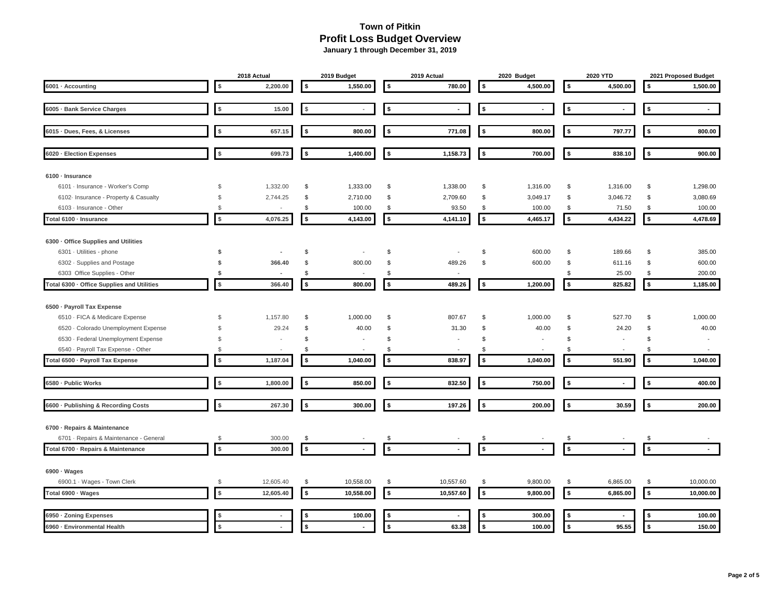|                                            |                | 2018 Actual              | 2019 Budget                    |                | 2019 Actual              | 2020 Budget        |                | 2020 YTD             |                |  |                    | 2021 Proposed Budget     |  |
|--------------------------------------------|----------------|--------------------------|--------------------------------|----------------|--------------------------|--------------------|----------------|----------------------|----------------|--|--------------------|--------------------------|--|
| 6001 · Accounting                          | \$             | 2,200.00                 | \$<br>1,550.00                 | 5              | 780.00                   | \$                 | 4,500.00       | \$                   | 4,500.00       |  | \$                 | 1,500.00                 |  |
| 6005 · Bank Service Charges                | \$             | 15.00                    | \$<br>$\sim$                   | \$             | $\blacksquare$           | \$                 | ÷.             | \$                   |                |  | \$                 | $\blacksquare$           |  |
|                                            |                |                          |                                |                |                          |                    |                |                      |                |  |                    |                          |  |
| 6015 · Dues, Fees, & Licenses              | \$             | 657.15                   | \$<br>800.00                   | \$             | 771.08                   | \$                 | 800.00         | \$                   | 797.77         |  | \$                 | 800.00                   |  |
| 6020 · Election Expenses                   | \$             | 699.73                   | \$<br>1,400.00                 | \$             | 1,158.73                 | \$                 | 700.00         | \$                   | 838.10         |  | \$                 | 900.00                   |  |
| 6100 · Insurance                           |                |                          |                                |                |                          |                    |                |                      |                |  |                    |                          |  |
| 6101 - Insurance - Worker's Comp           | \$             | 1,332.00                 | \$<br>1,333.00                 | \$             | 1,338.00                 | \$                 | 1,316.00       | \$                   | 1,316.00       |  | \$                 | 1,298.00                 |  |
| 6102 Insurance - Property & Casualty       | \$             | 2,744.25                 | \$<br>2,710.00                 | \$             | 2,709.60                 | \$                 | 3,049.17       | \$                   | 3,046.72       |  | \$                 | 3,080.69                 |  |
| 6103 - Insurance - Other                   | $$\mathbb{S}$$ | $\overline{\phantom{a}}$ | \$<br>100.00                   | \$             | 93.50                    | \$                 | 100.00         | \$                   | 71.50          |  | \$                 | 100.00                   |  |
| Total 6100 · Insurance                     | $$$            | 4,076.25                 | \$<br>4,143.00                 | $\pmb{\$}$     | 4,141.10                 | \$                 | 4,465.17       | \$                   | 4,434.22       |  | \$                 | 4,478.69                 |  |
| 6300 · Office Supplies and Utilities       |                |                          |                                |                |                          |                    |                |                      |                |  |                    |                          |  |
| 6301 - Utilities - phone                   | \$             | $\blacksquare$           | \$                             | \$             |                          | \$                 | 600.00         | \$                   | 189.66         |  | \$                 | 385.00                   |  |
| 6302 · Supplies and Postage                | \$             | 366.40                   | \$<br>800.00                   | \$             | 489.26                   | \$                 | 600.00         | \$                   | 611.16         |  | \$                 | 600.00                   |  |
| 6303 Office Supplies - Other               | \$             | $\sim$                   | \$<br>$\overline{\phantom{a}}$ | \$             | $\overline{\phantom{a}}$ |                    |                | \$                   | 25.00          |  | \$                 | 200.00                   |  |
| Total 6300 · Office Supplies and Utilities | $\sqrt{2}$     | 366.40                   | \$<br>800.00                   | $\sqrt{2}$     | 489.26                   | \$                 | 1,200.00       | $\sqrt{2}$           | 825.82         |  | $\sqrt{2}$         | 1,185.00                 |  |
| 6500 · Payroll Tax Expense                 |                |                          |                                |                |                          |                    |                |                      |                |  |                    |                          |  |
| 6510 - FICA & Medicare Expense             | \$             | 1,157.80                 | \$<br>1,000.00                 | \$             | 807.67                   | \$                 | 1,000.00       | \$                   | 527.70         |  | \$                 | 1,000.00                 |  |
| 6520 · Colorado Unemployment Expense       | \$             | 29.24                    | \$<br>40.00                    | \$             | 31.30                    | \$                 | 40.00          | \$                   | 24.20          |  | \$                 | 40.00                    |  |
| 6530 - Federal Unemployment Expense        | \$             | $\overline{\phantom{a}}$ | \$<br>$\overline{\phantom{a}}$ | \$             |                          | \$                 | $\blacksquare$ | \$                   |                |  | \$                 | $\overline{\phantom{a}}$ |  |
| 6540 · Payroll Tax Expense - Other         | \$             |                          | \$                             | -\$            |                          | \$                 |                | \$                   |                |  | \$                 |                          |  |
| Total 6500 · Payroll Tax Expense           | \$             | 1,187.04                 | \$<br>1,040.00                 | $\sqrt{2}$     | 838.97                   | \$                 | 1,040.00       | \$                   | 551.90         |  | \$                 | 1,040.00                 |  |
| 6580 - Public Works                        | \$             | 1,800.00                 | \$<br>850.00                   | 5              | 832.50                   | \$                 | 750.00         | $\sqrt{2}$           | $\overline{a}$ |  | \$                 | 400.00                   |  |
|                                            |                |                          |                                |                |                          |                    |                |                      |                |  |                    |                          |  |
| 6600 · Publishing & Recording Costs        | $\sqrt{2}$     | 267.30                   | \$<br>300.00                   | $\sqrt{2}$     | 197.26                   | \$                 | 200.00         | $\sqrt{2}$           | 30.59          |  | $\sqrt{2}$         | 200.00                   |  |
| 6700 - Repairs & Maintenance               |                |                          |                                |                |                          |                    |                |                      |                |  |                    |                          |  |
| 6701 · Repairs & Maintenance - General     | $$\mathbb{S}$$ | 300.00                   | \$                             | \$             |                          | \$                 |                | \$                   |                |  | \$                 |                          |  |
| Total 6700 · Repairs & Maintenance         | $\pmb{\$}$     | 300.00                   | \$<br>$\blacksquare$           | $\pmb{\$}$     |                          | $\pmb{\mathsf{s}}$ |                | $\pmb{\mathfrak{s}}$ |                |  | $\pmb{\mathsf{s}}$ |                          |  |
| $6900 \cdot Wages$                         |                |                          |                                |                |                          |                    |                |                      |                |  |                    |                          |  |
| 6900.1 · Wages - Town Clerk                | \$             | 12,605.40                | \$<br>10,558.00                | \$             | 10,557.60                | \$                 | 9,800.00       | \$                   | 6,865.00       |  | \$                 | 10,000.00                |  |
| Total 6900 · Wages                         | $\pmb{\$}$     | 12,605.40                | \$<br>10,558.00                | $$\mathbb{S}$$ | 10,557.60                | \$                 | 9,800.00       | $\pmb{\$}$           | 6,865.00       |  | $$\mathbb{S}$$     | 10,000.00                |  |
| 6950 · Zoning Expenses                     | \$             |                          | \$<br>100.00                   | \$             |                          | - \$               | 300.00         | \$                   |                |  |                    | 100.00                   |  |
| 6960 - Environmental Health                | \$             |                          | \$<br>$\blacksquare$           | \$             | 63.38                    | \$                 | 100.00         | \$                   | 95.55          |  | \$                 | 150.00                   |  |
|                                            |                |                          |                                |                |                          |                    |                |                      |                |  |                    |                          |  |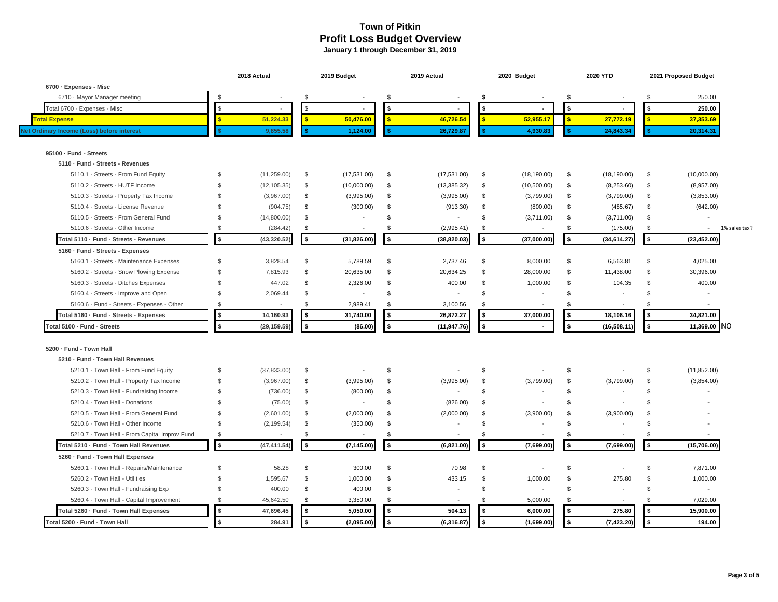|                                               |                | 2018 Actual              |              | 2019 Budget    |                    | 2019 Actual              |                | 2020 Budget              | 2020 YTD           | 2021 Proposed Budget |                |               |  |  |
|-----------------------------------------------|----------------|--------------------------|--------------|----------------|--------------------|--------------------------|----------------|--------------------------|--------------------|----------------------|----------------|---------------|--|--|
| 6700 · Expenses - Misc                        |                |                          |              |                |                    |                          |                |                          |                    |                      |                |               |  |  |
| 6710 · Mayor Manager meeting                  | \$             |                          | \$           |                | \$                 | $\blacksquare$           | Ŝ.             |                          | \$                 | \$                   | 250.00         |               |  |  |
| Total 6700 · Expenses - Misc                  | \$             | $\overline{\phantom{a}}$ | \$           | ÷              | $\mathbf{\hat{z}}$ | $\sim$                   |                | $\sim$                   | \$                 | \$                   | 250.00         |               |  |  |
| <b>Total Expense</b>                          | S              | 51,224.33                | $\mathbf{s}$ | 50,476.00      | s.                 | 46,726.54                |                | 52,955.17                | \$<br>27,772.19    | $\mathbf{s}$         | 37,353.69      |               |  |  |
| Net Ordinary Income (Loss) before interest    |                | 9,855.58                 |              | 1,124.00       |                    | 26,729.87                |                | 4,930.83                 | 24,843.34          |                      | 20,314.31      |               |  |  |
| 95100 · Fund - Streets                        |                |                          |              |                |                    |                          |                |                          |                    |                      |                |               |  |  |
| 5110 · Fund - Streets - Revenues              |                |                          |              |                |                    |                          |                |                          |                    |                      |                |               |  |  |
| 5110.1 · Streets - From Fund Equity           | \$             | (11, 259.00)             | \$           | (17, 531.00)   | \$                 | (17,531.00)              | \$             | (18, 190.00)             | \$<br>(18, 190.00) | \$                   | (10,000.00)    |               |  |  |
| 5110.2 · Streets - HUTF Income                | $\mathfrak{S}$ | (12, 105.35)             | \$           | (10,000.00)    | \$                 | (13, 385.32)             | \$             | (10,500.00)              | \$<br>(8,253.60)   | \$                   | (8,957.00)     |               |  |  |
| 5110.3 · Streets - Property Tax Income        | \$             | (3,967.00)               | \$           | (3,995.00)     | \$                 | (3,995.00)               | \$             | (3,799.00)               | \$<br>(3,799.00)   | \$                   | (3,853.00)     |               |  |  |
| 5110.4 · Streets - License Revenue            | \$             | (904.75)                 | \$           | (300.00)       | \$                 | (913.30)                 | \$             | (800.00)                 | \$<br>(485.67)     | \$                   | (642.00)       |               |  |  |
| 5110.5 · Streets - From General Fund          | \$             | (14,800.00)              | \$           |                | \$                 | $\sim$                   | \$             | (3,711.00)               | \$<br>(3,711.00)   | \$                   | $\overline{a}$ |               |  |  |
| 5110.6 · Streets - Other Income               | \$             | (284.42)                 | \$           | ÷              | \$                 | (2,995.41)               | \$             | $\overline{\phantom{a}}$ | \$<br>(175.00)     | \$                   | $\sim$         | 1% sales tax? |  |  |
| Total 5110 · Fund - Streets - Revenues        | $\sqrt{2}$     | (43, 320.52)             | \$           | (31, 826.00)   | 5                  | (38, 820.03)             | $\sqrt{2}$     | (37,000.00)              | \$<br>(34, 614.27) | $\sqrt{2}$           | (23, 452.00)   |               |  |  |
| 5160 · Fund - Streets - Expenses              |                |                          |              |                |                    |                          |                |                          |                    |                      |                |               |  |  |
| 5160.1 · Streets - Maintenance Expenses       | \$             | 3.828.54                 | \$           | 5,789.59       | \$                 | 2.737.46                 | \$             | 8,000.00                 | \$<br>6.563.81     | \$                   | 4.025.00       |               |  |  |
| 5160.2 · Streets - Snow Plowing Expense       | $\mathfrak{L}$ | 7,815.93                 | \$           | 20,635.00      | \$                 | 20,634.25                | \$             | 28,000.00                | \$<br>11,438.00    | \$                   | 30,396.00      |               |  |  |
| 5160.3 · Streets - Ditches Expenses           | \$             | 447.02                   | \$           | 2,326.00       | \$                 | 400.00                   | \$             | 1,000.00                 | \$<br>104.35       | \$                   | 400.00         |               |  |  |
| 5160.4 - Streets - Improve and Open           | \$             | 2,069.44                 | \$           | $\blacksquare$ | \$                 | $\overline{\phantom{a}}$ | \$             |                          | \$                 | \$                   |                |               |  |  |
| 5160.6 · Fund - Streets - Expenses - Other    | $\mathfrak{S}$ | $\overline{\phantom{a}}$ | \$           | 2,989.41       | \$                 | 3,100.56                 | \$             |                          | \$                 | \$.                  |                |               |  |  |
| Total 5160 · Fund - Streets - Expenses        | \$             | 14,160.93                | \$           | 31,740.00      | 5                  | 26,872.27                |                | 37,000.00                | \$<br>18,106.16    | \$                   | 34,821.00      |               |  |  |
| Total 5100 · Fund - Streets                   | $\mathbf{s}$   | (29, 159.59)             | \$           | (86.00)        | $\sim$             | (11, 947.76)             | \$             |                          | \$<br>(16, 508.11) | $\mathbf{s}$         | 11,369.00      | <b>NO</b>     |  |  |
| 5200 - Fund - Town Hall                       |                |                          |              |                |                    |                          |                |                          |                    |                      |                |               |  |  |
| 5210 · Fund - Town Hall Revenues              |                |                          |              |                |                    |                          |                |                          |                    |                      |                |               |  |  |
| 5210.1 · Town Hall - From Fund Equity         | \$             | (37, 833.00)             | \$           | $\blacksquare$ | \$                 |                          | \$             |                          | \$                 | \$                   | (11, 852.00)   |               |  |  |
| 5210.2 · Town Hall - Property Tax Income      | \$             | (3,967.00)               | \$           | (3,995.00)     | \$                 | (3,995.00)               | \$             | (3,799.00)               | \$<br>(3,799.00)   | \$                   | (3,854.00)     |               |  |  |
| 5210.3 · Town Hall - Fundraising Income       | \$             | (736.00)                 | \$           | (800.00)       | \$                 |                          | \$             |                          | \$                 | \$                   |                |               |  |  |
| 5210.4 · Town Hall - Donations                | \$             | (75.00)                  | \$           | $\blacksquare$ | \$                 | (826.00)                 | \$             |                          | \$                 | \$                   |                |               |  |  |
| 5210.5 · Town Hall - From General Fund        | \$             | (2,601.00)               | \$           | (2,000.00)     | \$                 | (2,000.00)               | \$             | (3,900.00)               | \$<br>(3,900.00)   | \$                   |                |               |  |  |
| 5210.6 · Town Hall - Other Income             | \$             | (2, 199.54)              | \$           | (350.00)       | \$                 | $\blacksquare$           | \$             |                          | \$                 | \$                   |                |               |  |  |
| 5210.7 · Town Hall - From Capital Improv Fund | \$             |                          | \$           |                | \$                 | $\blacksquare$           | $\mathfrak{L}$ |                          | \$                 | \$                   |                |               |  |  |
| Total 5210 · Fund - Town Hall Revenues        | $\sqrt{3}$     | (47, 411.54)             | \$           | (7, 145.00)    | 5                  | (6,821.00)               | $\sqrt{2}$     | (7,699.00)               | \$<br>(7,699.00)   | $\overline{\bullet}$ | (15,706.00)    |               |  |  |
| 5260 · Fund - Town Hall Expenses              |                |                          |              |                |                    |                          |                |                          |                    |                      |                |               |  |  |
| 5260.1 · Town Hall - Repairs/Maintenance      | \$             | 58.28                    | \$           | 300.00         | \$                 | 70.98                    | $\mathfrak{L}$ |                          | \$                 | \$                   | 7.871.00       |               |  |  |
| 5260.2 · Town Hall - Utilities                | \$             | 1,595.67                 | \$           | 1,000.00       | \$                 | 433.15                   | \$             | 1,000.00                 | \$<br>275.80       | \$                   | 1,000.00       |               |  |  |
| 5260.3 · Town Hall - Fundraising Exp          | \$             | 400.00                   | \$           | 400.00         | \$                 | ÷,                       | \$             |                          | \$                 | \$                   |                |               |  |  |
| 5260.4 · Town Hall - Capital Improvement      | \$             | 45,642.50                | \$           | 3,350.00       | \$                 |                          | -S             | 5,000.00                 | \$                 | \$                   | 7,029.00       |               |  |  |
| Total 5260 · Fund - Town Hall Expenses        | $\frac{1}{2}$  | 47,696.45                | \$           | 5,050.00       | <b>S</b>           | 504.13                   | - \$           | 6,000.00                 | \$<br>275.80       | <b>S</b>             | 15.900.00      |               |  |  |
| Total 5200 · Fund - Town Hall                 | $$\mathsf{s}$$ | 284.91                   | \$           | (2,095.00)     | $\sqrt{2}$         | (6, 316.87)              | \$             | (1,699.00)               | \$<br>(7, 423.20)  | \$                   | 194.00         |               |  |  |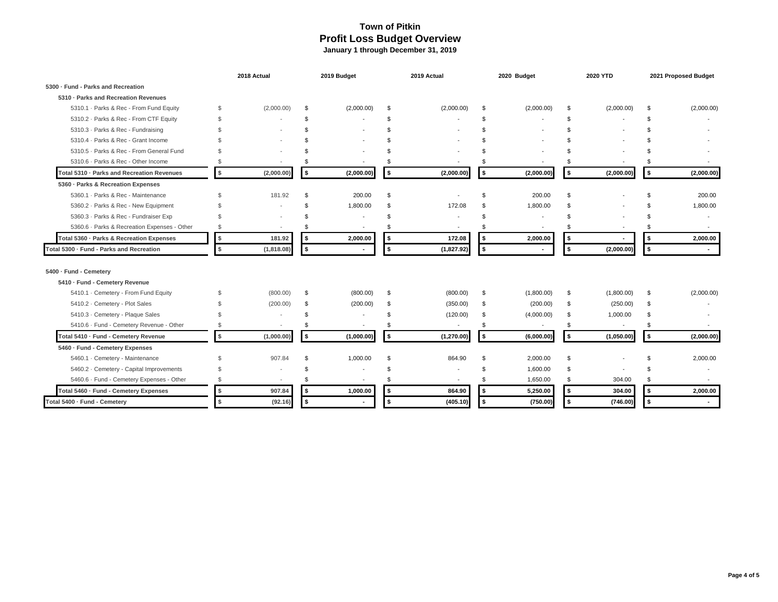|                                              |                | 2018 Actual              |                | 2019 Budget              |     | 2019 Actual              |               | 2020 Budget              |                | 2020 YTD   | 2021 Proposed Budget |                          |  |
|----------------------------------------------|----------------|--------------------------|----------------|--------------------------|-----|--------------------------|---------------|--------------------------|----------------|------------|----------------------|--------------------------|--|
| 5300 · Fund - Parks and Recreation           |                |                          |                |                          |     |                          |               |                          |                |            |                      |                          |  |
| 5310 · Parks and Recreation Revenues         |                |                          |                |                          |     |                          |               |                          |                |            |                      |                          |  |
| 5310.1 · Parks & Rec - From Fund Equity      | \$             | (2,000.00)               | \$.            | (2,000.00)               | \$  | (2,000.00)               | -S            | (2,000.00)               | \$             | (2,000.00) | \$                   | (2,000.00)               |  |
| 5310.2 · Parks & Rec - From CTF Equity       | \$             |                          | $\mathfrak{L}$ |                          | \$  |                          | <sup>\$</sup> |                          | $\mathfrak{L}$ |            | \$                   |                          |  |
| 5310.3 - Parks & Rec - Fundraising           | \$             |                          |                |                          |     |                          | £.            |                          |                |            |                      |                          |  |
| 5310.4 · Parks & Rec - Grant Income          | $\mathfrak{L}$ |                          |                |                          |     |                          |               |                          |                |            |                      |                          |  |
| 5310.5 · Parks & Rec - From General Fund     | \$             |                          |                |                          |     |                          |               |                          |                |            |                      |                          |  |
| 5310.6 · Parks & Rec - Other Income          | \$             | $\overline{\phantom{a}}$ |                |                          |     | $\overline{\phantom{a}}$ |               |                          |                |            | \$                   |                          |  |
| Total 5310 · Parks and Recreation Revenues   | \$             | (2,000.00)               | \$             | (2,000.00)               | 5   | (2,000.00)               | \$            | (2,000.00)               | \$             | (2,000.00) | $\sim$               | (2,000.00)               |  |
| 5360 - Parks & Recreation Expenses           |                |                          |                |                          |     |                          |               |                          |                |            |                      |                          |  |
| 5360.1 · Parks & Rec - Maintenance           | \$             | 181.92                   | \$.            | 200.00                   | \$  |                          |               | 200.00                   |                |            | S.                   | 200.00                   |  |
| 5360.2 · Parks & Rec - New Equipment         | \$             |                          | \$.            | 1,800.00                 | \$  | 172.08                   | £.            | 1,800.00                 |                |            | \$                   | 1,800.00                 |  |
| 5360.3 · Parks & Rec - Fundraiser Exp        | \$             |                          |                |                          | £.  |                          | \$.           |                          |                |            |                      | $\overline{\phantom{a}}$ |  |
| 5360.6 · Parks & Recreation Expenses - Other | \$             | $\overline{\phantom{a}}$ |                |                          | £.  |                          | £.            |                          |                |            | \$.                  |                          |  |
| Total 5360 · Parks & Recreation Expenses     | $\sqrt{3}$     | 181.92                   | \$             | 2,000.00                 | \$  | 172.08                   | -\$           | 2,000.00                 | \$             |            | \$                   | 2,000.00                 |  |
| Total 5300 · Fund - Parks and Recreation     | \$             | (1,818.08)               | \$             |                          | ŝ.  | (1,827.92)               | \$            |                          | \$             | (2,000.00) | \$                   |                          |  |
| 5400 - Fund - Cemetery                       |                |                          |                |                          |     |                          |               |                          |                |            |                      |                          |  |
| 5410 · Fund - Cemetery Revenue               |                |                          |                |                          |     |                          |               |                          |                |            |                      |                          |  |
| 5410.1 · Cemetery - From Fund Equity         | \$             | (800.00)                 | \$             | (800.00)                 | \$  | (800.00)                 | -S            | (1,800.00)               | - \$           | (1,800.00) | \$                   | (2,000.00)               |  |
| 5410.2 · Cemetery - Plot Sales               | \$             | (200.00)                 | \$             | (200.00)                 | \$  | (350.00)                 | $\mathcal{S}$ | (200.00)                 | \$             | (250.00)   | \$                   |                          |  |
| 5410.3 · Cemetery - Plaque Sales             |                |                          | \$.            |                          | £.  | (120.00)                 | -\$           | (4,000.00)               | \$             | 1,000.00   | \$                   |                          |  |
| 5410.6 · Fund - Cemetery Revenue - Other     | \$             | $\overline{\phantom{a}}$ |                | $\overline{\phantom{a}}$ | £.  | $\overline{\phantom{a}}$ | \$.           | $\overline{\phantom{a}}$ | \$             | $\sim$     | \$                   |                          |  |
| Total 5410 · Fund - Cemetery Revenue         | \$             | (1,000.00)               | \$             | (1,000.00)               | 5   | (1, 270.00)              | \$            | (6,000.00)               | \$             | (1,050.00) | l \$                 | (2,000.00)               |  |
| 5460 · Fund - Cemetery Expenses              |                |                          |                |                          |     |                          |               |                          |                |            |                      |                          |  |
| 5460.1 · Cemetery - Maintenance              | \$             | 907.84                   | \$             | 1,000.00                 | \$. | 864.90                   | -S            | 2,000.00                 | \$             |            | \$                   | 2,000.00                 |  |
| 5460.2 · Cemetery - Capital Improvements     | \$             |                          | -S             |                          |     |                          | -\$           | 1,600.00                 | - \$           |            | \$                   |                          |  |
| 5460.6 · Fund - Cemetery Expenses - Other    | \$             | $\overline{\phantom{a}}$ | \$             |                          | \$  | $\overline{\phantom{a}}$ | \$            | 1,650.00                 | \$             | 304.00     | \$                   |                          |  |
| Total 5460 · Fund - Cemetery Expenses        | \$             | 907.84                   | \$             | 1,000.00                 | 5   | 864.90                   | -\$           | 5,250.00                 | \$             | 304.00     | \$                   | 2,000.00                 |  |
| Total 5400 · Fund - Cemetery                 | \$             | (92.16)                  | \$             |                          | \$  | (405.10)                 | \$            | (750.00)                 | \$             | (746.00)   | \$                   | $\sim$                   |  |